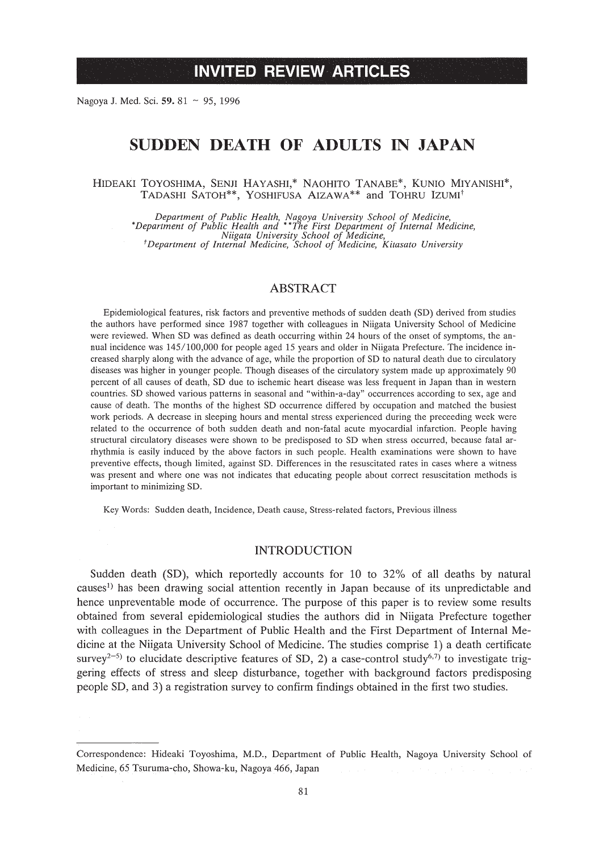Nagoya J. Med. Sci. 59. 81 ~ 95, 1996

# **SUDDEN DEATH OF ADULTS IN JAPAN**

HIDEAKI TOYOSHIMA, SENJI HAYASHI,\* NAOHITO TANABE\*, KUNIO MIYANISHI\*, TADASHI SATOH\*\*, YOSHIFUSA AIZAWA\*\* and TOHRU IZUMI<sup>†</sup>

Department of Public Health, Nagoya University School of Medicine,<br>\*Department of Public Health and \*\*The First Department of Internal Medicine, *Niigata University School of Medicine, tDepartment of Internal Medicine, School of Medicine, Kitasato University*

## ABSTRACT

Epidemiological features, risk factors and preventive methods of sudden death (SO) derived from studies the authors have performed since 1987 together with colleagues in Niigata University School of Medicine were reviewed. When SO was defined as death occurring within 24 hours of the onset of symptoms, the annual incidence was *145/100,000* for people aged 15 years and older in Niigata Prefecture. The incidence increased sharply along with the advance of age, while the proportion of SO to natural death due to circulatory diseases was higher in younger people. Though diseases of the circulatory system made up approximately 90 percent of all causes of death, SO due to ischemic heart disease was Jess frequent in Japan than in western countries. SO showed various patterns in seasonal and "within-a-day" occurrences according to sex, age and cause of death. The months of the highest SO occurrence differed by occupation and matched the busiest work periods. A decrease in sleeping hours and mental stress experienced during the preceeding week were related to the occurrence of both sudden death and non-fatal acute myocardial infarction. People having structural circulatory diseases were shown to be predisposed to SO when stress occurred, because fatal arrhythmia is easily induced by the above factors in such people. Health examinations were shown to have preventive effects, though limited, against SO. Differences in the resuscitated rates in cases where a witness was present and where one was not indicates that educating people about correct resuscitation methods is important to minimizing SO.

Key Words: Sudden death, Incidence, Death cause, Stress-related factors, Previous illness

## **INTRODUCTION**

Sudden death (SD), which reportedly accounts for 10 to 32% of all deaths by natural causes!) has been drawing social attention recently in Japan because of its unpredictable and hence unpreventable mode of occurrence. The purpose of this paper is to review some results obtained from several epidemiological studies the authors did in Niigata Prefecture together with colleagues in the Department of Public Health and the First Department of Internal Medicine at the Niigata University School of Medicine. The studies comprise 1) a death certificate survey<sup>2-5)</sup> to elucidate descriptive features of SD, 2) a case-control study<sup>6,7)</sup> to investigate triggering effects of stress and sleep disturbance, together with background factors predisposing people SD, and 3) a registration survey to confirm findings obtained in the first two studies.

Correspondence: Hideaki Toyoshima, M.D., Department of Public Health, Nagoya University School of Medicine, 65 Tsuruma-cho, Showa-ku, Nagoya 466, Japan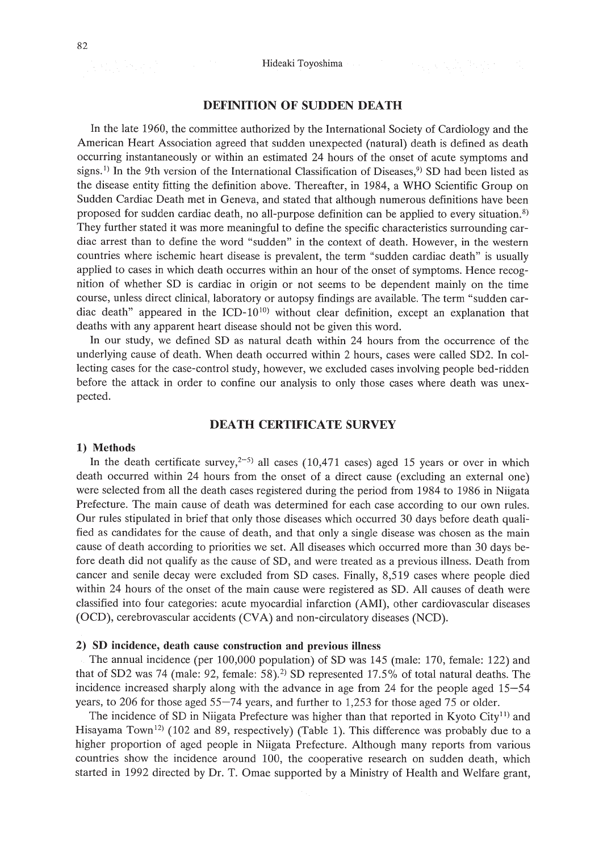## DEFINITION OF SUDDEN DEATH

In the late 1960, the committee authorized by the International Society of Cardiology and the American Heart Association agreed that sudden unexpected (natural) death is defined as death occurring instantaneously or within an estimated 24 hours of the onset of acute symptoms and signs.<sup>1)</sup> In the 9th version of the International Classification of Diseases,<sup>9</sup> SD had been listed as the disease entity fitting the definition above. Thereafter, in 1984, a WHO Scientific Group on Sudden Cardiac Death met in Geneva, and stated that although numerous definitions have been proposed for sudden cardiac death, no all-purpose definition can be applied to every situation.8) They further stated it was more meaningful to define the specific characteristics surrounding cardiac arrest than to define the word "sudden" in the context of death. However, in the western countries where ischemic heart disease is prevalent, the term "sudden cardiac death" is usually applied to cases in which death occurres within an hour of the onset of symptoms. Hence recognition of whether SD is cardiac in origin or not seems to be dependent mainly on the time course, unless direct clinical, laboratory or autopsy findings are available. The term "sudden cardiac death" appeared in the ICD- $10^{10}$ ) without clear definition, except an explanation that deaths with any apparent heart disease should not be given this word.

In our study, we defined SD as natural death within 24 hours from the occurrence of the underlying cause of death. When death occurred within 2 hours, cases were called SD2. In collecting cases for the case-control study, however, we excluded cases involving people bed-ridden before the attack in order to confine our analysis to only those cases where death was unexpected.

## DEATH CERTIFICATE SURVEY

### 1) Methods

In the death certificate survey,<sup>2-5)</sup> all cases (10,471 cases) aged 15 years or over in which death occurred within 24 hours from the onset of a direct cause (excluding an external one) were selected from all the death cases registered during the period from 1984 to 1986 in Niigata Prefecture. The main cause of death was determined for each case according to our own rules. Our rules stipulated in brief that only those diseases which occurred 30 days before death qualified as candidates for the cause of death, and that only a single disease was chosen as the main cause of death according to priorities we set. All diseases which occurred more than 30 days before death did not qualify as the cause of SD, and were treated as a previous illness. Death from cancer and senile decay were excluded from SD cases. Finally, 8,519 cases where people died within 24 hours of the onset of the main cause were registered as SD. All causes of death were classified into four categories: acute myocardial infarction (AMI), other cardiovascular diseases (OCD), cerebrovascular accidents (CVA) and non-circulatory diseases (NCD).

#### 2) SD incidence, death cause construction and previous illness

The annual incidence (per 100,000 population) of SD was 145 (male: 170, female: 122) and that of SD2 was 74 (male: 92, female:  $58$ ).<sup>2)</sup> SD represented 17.5% of total natural deaths. The incidence increased sharply along with the advance in age from 24 for the people aged 15-54 years, to 206 for those aged 55-74 years, and further to 1,253 for those aged 75 or older.

The incidence of SD in Niigata Prefecture was higher than that reported in Kyoto City<sup>11</sup>) and Hisayama Town<sup>12</sup>) (102 and 89, respectively) (Table 1). This difference was probably due to a higher proportion of aged people in Niigata Prefecture. Although many reports from various countries show the incidence around 100, the cooperative research on sudden death, which started in 1992 directed by Dr. T. Omae supported by a Ministry of Health and Welfare grant,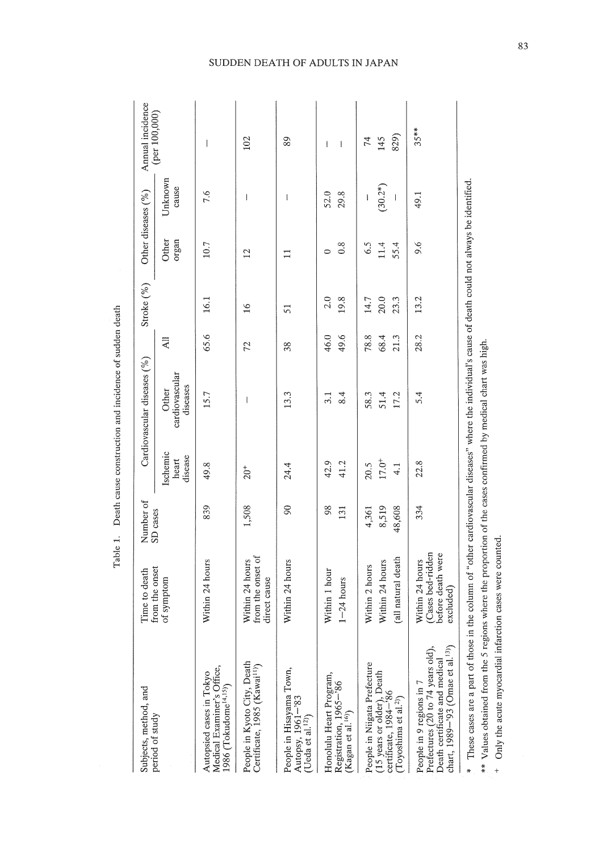| -<br>-<br>-<br>-                                                            |
|-----------------------------------------------------------------------------|
|                                                                             |
| l                                                                           |
| ֖֖֖֖֖֖֧֖֧ׅ֖֧֖֖֧֚֚֚֚֚֚֚֚֚֚֚֚֚֚֚֚֚֚֚֚֚֚֚֚֚֚֚֬֝֝֝֓֞֝                           |
| ֧֧ׅׅ֚֚֚֚֚֚֚֚֚֚֚֚֚֚֚֚֚֚֚֚֚֚֚֚֚֚֡֡֝֡֓֡֡֡֡֬֓֡<br>١<br>$\overline{\phantom{a}}$ |
|                                                                             |
|                                                                             |
|                                                                             |

| Subjects, method, and<br>period of study                                                                                                        | Time to death                                                          | Number of<br>SD cases    |                              | Cardiovascular diseases (%)         |                      | Stroke (%)           | Other diseases (%)  |                  | Annual incidence               |
|-------------------------------------------------------------------------------------------------------------------------------------------------|------------------------------------------------------------------------|--------------------------|------------------------------|-------------------------------------|----------------------|----------------------|---------------------|------------------|--------------------------------|
|                                                                                                                                                 | from the onset<br>of symptom                                           |                          | Ischemic<br>disease<br>heart | cardiovascular<br>diseases<br>Other | $\overline{A}$       |                      | Other<br>organ      | Unknown<br>cause | (per 100,000)                  |
| Medical Examiner's Office,<br>Autopsied cases in Tokyo<br>1986 (Tokudome <sup>14,15)</sup> )                                                    | hours<br>Within 24                                                     | 839                      | 49.8                         | 15.7                                | 65.6                 | 16.1                 | 10.7                | 7.6              | $\overline{\phantom{a}}$       |
| People in Kyoto City, Death<br>Certificate, 1985 (Kawai <sup>11)</sup> )                                                                        | from the onset of<br>Within 24 hours<br>direct cause                   | 1,508                    | $20^{+}$                     | $\overline{\phantom{a}}$            | 72                   | $\frac{6}{1}$        | 12                  | 1                | 102                            |
| People in Hisayama Town,<br>Autopsy, 1961-'83<br>(Ueda et al. <sup>12)</sup> )                                                                  | hours<br>Within 24                                                     | $\infty$                 | 24.4                         | 13.3                                | 38                   | 51                   |                     | l                | 89                             |
| Honolulu Heart Program,<br>Registration, 1965-'86<br>(Kagan et al. <sup>16)</sup> )                                                             | Within 1 hour<br>$1 - 24$ hours                                        | 98<br>131                | 42.9<br>41.2                 | 8.4<br>3.1                          | 49.6<br>46.0         | 2.0<br>19.8          | 0.8<br>0            | 29.8<br>52.0     | $\mathbf{I}$<br>$\overline{1}$ |
| People in Niigata Prefecture<br>(15 years or older), Death<br>certificate, 1984-'86<br>(Toyoshima et al. <sup>2)</sup> )                        | (all natural death<br>Within 24 hours<br>Within 2 hours                | 8,519<br>48,608<br>4,361 | $17.0^{+}$<br>20.5<br>4.1    | 58.3<br>51.4<br>17.2                | 78.8<br>68.4<br>21.3 | 20.0<br>23.3<br>14.7 | 6.5<br>11.4<br>55.4 | $(30.2*)$<br>I   | 829)<br>145<br>74              |
| chart, 1989-'93 (Omae et al. <sup>13)</sup> )<br>Prefectures (20 to 74 years old),<br>Death certificate and medical<br>People in 9 regions in 7 | (Cases bed-ridden<br>before death were<br>Within 24 hours<br>excluded) | 334                      | 22.8                         | 5.4                                 | 28.2                 | 13.2                 | 9.6                 | 49.1             | $35***$                        |

SUDDEN DEATH OF ADULTS IN JAPAN

83

\*\* Values obtained from the 5 regions where the proportion of the cases confirmed by medical chart was high.

\*\* Values obtained from the 5 regions where the proportion of the cases confirmed by medical chart was high.

+ Only the acute myocardial infarction cases were counted. Only the acute myocardial infarction cases were counted.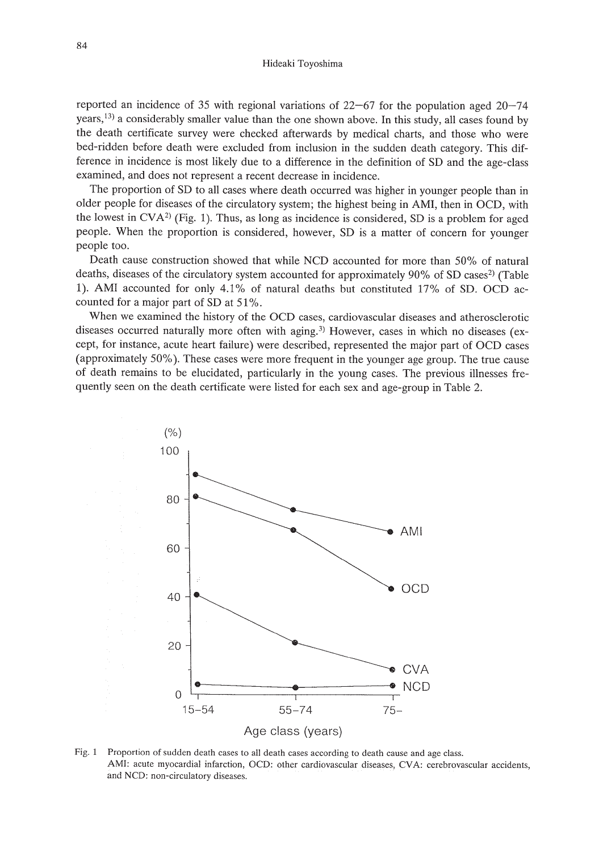reported an incidence of 35 with regional variations of  $22-67$  for the population aged  $20-74$ years,<sup>13)</sup> a considerably smaller value than the one shown above. In this study, all cases found by the death certificate survey were checked afterwards by medical charts, and those who were bed-ridden before death were excluded from inclusion in the sudden death category. This difference in incidence is most likely due to a difference in the definition of SD and the age-class examined, and does not represent a recent decrease in incidence.

The proportion of SD to all cases where death occurred was higher in younger people than in older people for diseases of the circulatory system; the highest being in AMI, then in OCD, with the lowest in  $CVA<sup>2</sup>$  (Fig. 1). Thus, as long as incidence is considered, SD is a problem for aged people. When the proportion is considered, however, SD is a matter of concern for younger people too.

Death cause construction showed that while NCD accounted for more than 50% of natural deaths, diseases of the circulatory system accounted for approximately 90% of SD cases<sup>2</sup> (Table 1). AMI accounted for only 4.1% of natural deaths but constituted 17% of SD. OCD accounted for a major part of SD at 51%.

When we examined the history of the OCD cases, cardiovascular diseases and atherosclerotic diseases occurred naturally more often with aging.<sup>3)</sup> However, cases in which no diseases (except, for instance, acute heart failure) were described, represented the major part of OCD cases (approximately 50%). These cases were more frequent in the younger age group. The true cause of death remains to be elucidated, particularly in the young cases. The previous illnesses frequently seen on the death certificate were listed for each sex and age-group in Table 2.



Fig. 1 Proportion of sudden death cases to all death cases according to death cause and age class. AMI: acute myocardial infarction, OCD: other cardiovascular diseases, CVA: cerebrovascular accidents, and NCD: non-circulatory diseases.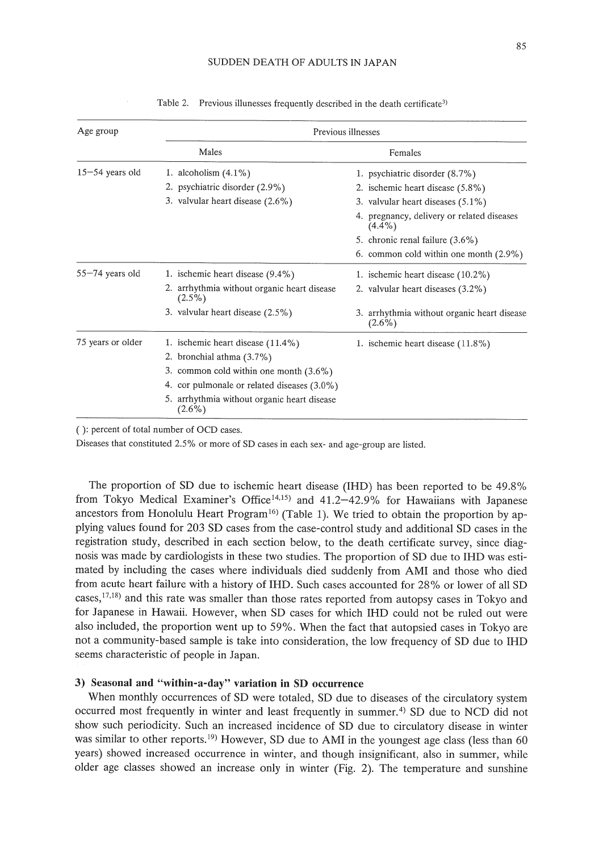| Age group           | Previous illnesses                                       |                                                          |  |  |
|---------------------|----------------------------------------------------------|----------------------------------------------------------|--|--|
|                     | Males                                                    | Females                                                  |  |  |
| $15 - 54$ years old | 1. alcoholism $(4.1\%)$                                  | 1. psychiatric disorder (8.7%)                           |  |  |
|                     | 2. psychiatric disorder (2.9%)                           | 2. ischemic heart disease (5.8%)                         |  |  |
|                     | 3. valvular heart disease $(2.6\%)$                      | 3. valvular heart diseases $(5.1\%)$                     |  |  |
|                     |                                                          | 4. pregnancy, delivery or related diseases<br>$(4.4\%)$  |  |  |
|                     |                                                          | 5. chronic renal failure (3.6%)                          |  |  |
|                     |                                                          | 6. common cold within one month $(2.9\%)$                |  |  |
| 55-74 years old     | 1. ischemic heart disease (9.4%)                         | 1. ischemic heart disease (10.2%)                        |  |  |
|                     | 2. arrhythmia without organic heart disease<br>$(2.5\%)$ | 2. valvular heart diseases (3.2%)                        |  |  |
|                     | 3. valvular heart disease $(2.5\%)$                      | 3. arrhythmia without organic heart disease<br>$(2.6\%)$ |  |  |
| 75 years or older   | 1. ischemic heart disease (11.4%)                        | 1. ischemic heart disease (11.8%)                        |  |  |
|                     | 2. bronchial athma (3.7%)                                |                                                          |  |  |
|                     | 3. common cold within one month $(3.6\%)$                |                                                          |  |  |
|                     | 4. cor pulmonale or related diseases $(3.0\%)$           |                                                          |  |  |
|                     | 5. arrhythmia without organic heart disease<br>$(2.6\%)$ |                                                          |  |  |

Table 2. Previous illunesses frequently described in the death certificate<sup>3)</sup>

( ): percent of total number of OCD cases.

Diseases that constituted 2.5% or more of SD cases in each sex- and age-group are listed.

The proportion of SD due to ischemic heart disease (IHD) has been reported to be 49.8% from Tokyo Medical Examiner's Office<sup>14,15</sup>) and 41.2-42.9% for Hawaiians with Japanese ancestors from Honolulu Heart Program<sup>16</sup> (Table 1). We tried to obtain the proportion by applying values found for 203 SD cases from the case-control study and additional SD cases in the registration study, described in each section below, to the death certificate survey, since diagnosis was made by cardiologists in these two studies. The proportion of SD due to IHD was estimated by including the cases where individuals died suddenly from AMI and those who died from acute heart failure with a history of IHD. Such cases accounted for 28% or lower of all SD cases,<sup>17,18</sup>) and this rate was smaller than those rates reported from autopsy cases in Tokyo and for Japanese in Hawaii. However, when SD cases for which IHD could not be ruled out were also included, the proportion went up to 59%. When the fact that autopsied cases in Tokyo are not a community-based sample is take into consideration, the low frequency of SD due to IHD seems characteristic of people in Japan.

## 3) Seasonal and "within-a-day" variation in SD occurrence

When monthly occurrences of SD were totaled, SD due to diseases of the circulatory system occurred most frequently in winter and least frequently in summer.<sup>4)</sup> SD due to NCD did not show such periodicity. Such an increased incidence of SD due to circulatory disease in winter was similar to other reports.<sup>19)</sup> However, SD due to AMI in the youngest age class (less than 60 years) showed increased occurrence in winter, and though insignificant, also in summer, while older age classes showed an increase only in winter (Fig. 2). The temperature and sunshine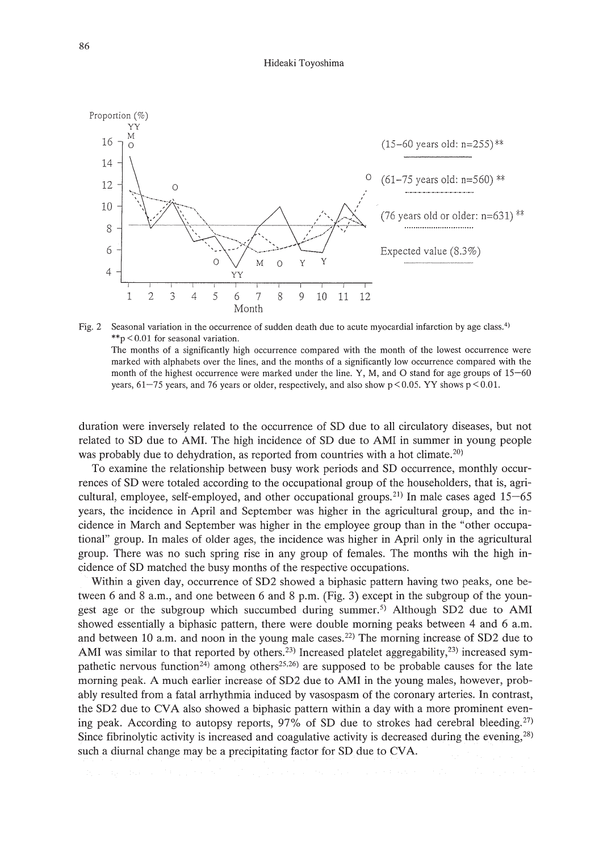



duration were inversely related to the occurrence of SD due to all circulatory diseases, but not related to SD due to AMI. The high incidence of SD due to AMI in summer in young people was probably due to dehydration, as reported from countries with a hot climate.<sup>20)</sup>

To examine the relationship between busy work periods and SD occurrence, monthly occurrences of SD were totaled according to the occupational group of the householders, that is, agricultural, employee, self-employed, and other occupational groups.<sup>21)</sup> In male cases aged  $15-65$ years, the incidence in April and September was higher in the agricultural group, and the incidence in March and September was higher in the employee group than in the "other occupational" group. In males of older ages, the incidence was higher in April only in the agricultural group. There was no such spring rise in any group of females. The months wih the high incidence of SD matched the busy months of the respective occupations.

Within a given day, occurrence of SD2 showed a biphasic pattern having two peaks, one between 6 and 8 a.m., and one between 6 and 8 p.m. (Fig. 3) except in the subgroup of the youngest age or the subgroup which succumbed during summer.<sup>5)</sup> Although SD2 due to AMI showed essentially a biphasic pattern, there were double morning peaks between 4 and 6 a.m. and between 10 a.m. and noon in the young male cases. 22) The morning increase of SD2 due to AMI was similar to that reported by others.<sup>23)</sup> Increased platelet aggregability,<sup>23)</sup> increased sympathetic nervous function<sup>24</sup>) among others<sup>25,26</sup>) are supposed to be probable causes for the late morning peak. A much earlier increase of SD2 due to AMI in the young males, however, probably resulted from a fatal arrhythmia induced by vasospasm of the coronary arteries. In contrast, the SD2 due to CVA also showed a biphasic pattern within a day with a more prominent evening peak. According to autopsy reports, 97% of SD due to strokes had cerebral bleeding.<sup>27)</sup> Since fibrinolytic activity is increased and coagulative activity is decreased during the evening, $^{28}$ ) such a diurnal change may be a precipitating factor for SD due to CVA.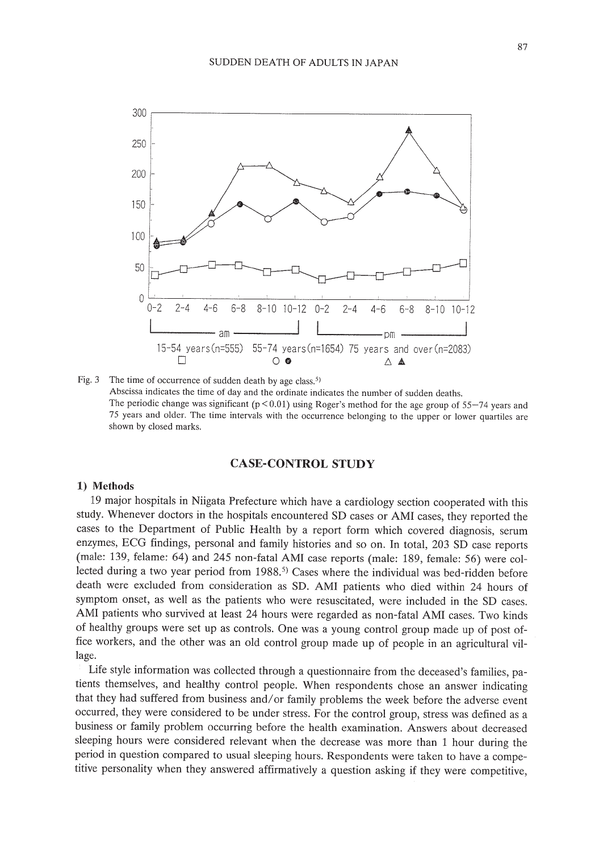

Fig. 3 The time of occurrence of sudden death by age class.<sup>5)</sup> Abscissa indicates the time of day and the ordinate indicates the number of sudden deaths. The periodic change was significant  $(p < 0.01)$  using Roger's method for the age group of 55-74 years and 75 years and older. The time intervals with the occurrence belonging to the upper or lower quartiles are shown by closed marks.

# **CASE-CONTROL STUDY**

## **1) Methods**

19 major hospitals in Niigata Prefecture which have a cardiology section cooperated with this study. Whenever doctors in the hospitals encountered SD cases or AMI cases, they reported the cases to the Department of Public Health by a report form which covered diagnosis, serum enzymes, ECG findings, personal and family histories and so on. In total, 203 SD case reports (male: 139, felame: 64) and 245 non-fatal AMI case reports (male: 189, female: 56) were collected during a two year period from 1988.<sup>5)</sup> Cases where the individual was bed-ridden before death were excluded from consideration as SD. AMI patients who died within 24 hours of symptom onset, as well as the patients who were resuscitated, were included in the SD cases. AMI patients who survived at least 24 hours were regarded as non-fatal AMI cases. Two kinds of healthy groups were set up as controls. One was a young control group made up of post office workers, and the other was an old control group made up of people in an agricultural village.

Life style information was collected through a questionnaire from the deceased's families, patients themselves, and healthy control people. When respondents chose an answer indicating that they had suffered from business and/or family problems the week before the adverse event occurred, they were considered to be under stress. For the control group, stress was defined as a business or family problem occurring before the health examination. Answers about decreased sleeping hours were considered relevant when the decrease was more than 1 hour during the period in question compared to usual sleeping hours. Respondents were taken to have a competitive personality when they answered affirmatively a question asking if they were competitive,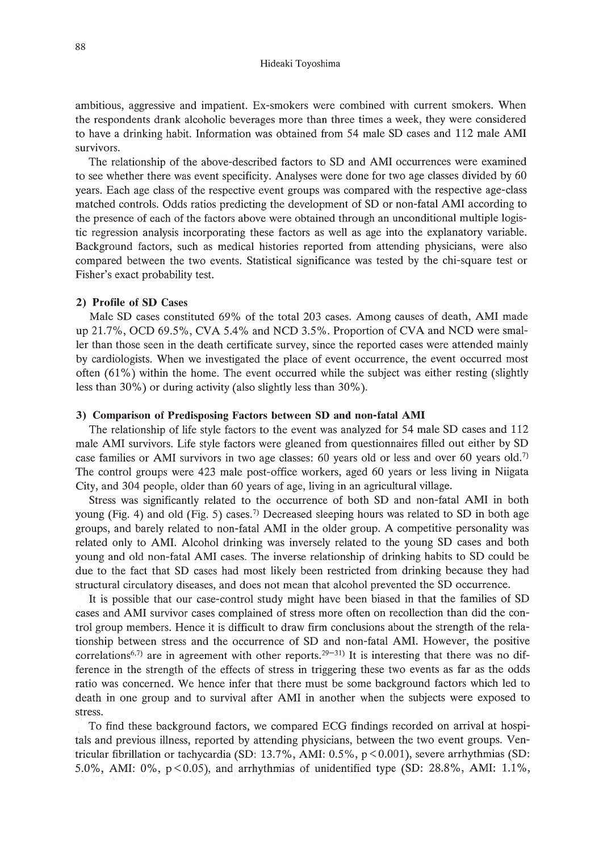ambitious, aggressive and impatient. Ex-smokers were combined with current smokers. When the respondents drank alcoholic beverages more than three times a week, they were considered to have a drinking habit. Information was obtained from 54 male SD cases and 112 male AMI survivors.

The relationship of the above-described factors to SD and AMI occurrences were examined to see whether there was event specificity. Analyses were done for two age classes divided by 60 years. Each age class of the respective event groups was compared with the respective age-class matched controls. Odds ratios predicting the development of SD or non-fatal AMI according to the presence of each of the factors above were obtained through an unconditional multiple logistic regression analysis incorporating these factors as well as age into the explanatory variable. Background factors, such as medical histories reported from attending physicians, were also compared between the two events. Statistical significance was tested by the chi-square test or Fisher's exact probability test.

## 2) Profile of SD Cases

Male SD cases constituted 69% of the total 203 cases. Among causes of death, AMI made up 21.7%, OCD 69.5%, eVA 5.4% and NCD 3.5%. Proportion of eVA and NCD were smaller than those seen in the death certificate survey, since the reported cases were attended mainly by cardiologists. When we investigated the place of event occurrence, the event occurred most often  $(61%)$  within the home. The event occurred while the subject was either resting (slightly less than 30%) or during activity (also slightly less than 30%).

## 3) Comparison of Predisposing Factors between SD and non-fatal AMI

The relationship of life style factors to the event was analyzed for 54 male SD cases and 112 male AMI survivors. Life style factors were gleaned from questionnaires filled out either by SD case families or AMI survivors in two age classes: 60 years old or less and over 60 years old.?) The control groups were 423 male post-office workers, aged 60 years or less living in Niigata City, and 304 people, older than 60 years of age, living in an agricultural village.

Stress was significantly related to the occurrence of both SD and non-fatal AMI in both young (Fig. 4) and old (Fig. 5) cases.<sup>7)</sup> Decreased sleeping hours was related to SD in both age groups, and barely related to non-fatal AMI in the older group. A competitive personality was related only to AMI. Alcohol drinking was inversely related to the young SD cases and both young and old non-fatal AMI cases. The inverse relationship of drinking habits to SD could be due to the fact that SD cases had most likely been restricted from drinking because they had structural circulatory diseases, and does not mean that alcohol prevented the SD occurrence.

It is possible that our case-control study might have been biased in that the families of SD cases and AMI survivor cases complained of stress more often on recollection than did the control group members. Hence it is difficult to draw firm conclusions about the strength of the relationship between stress and the occurrence of SD and non-fatal AMI. However, the positive correlations<sup>6,7)</sup> are in agreement with other reports.<sup>29-31</sup>) It is interesting that there was no difference in the strength of the effects of stress in triggering these two events as far as the odds ratio was concerned. We hence infer that there must be some background factors which led to death in one group and to survival after AMI in another when the subjects were exposed to stress.

To find these background factors, we compared ECG findings recorded on arrival at hospitals and previous illness, reported by attending physicians, between the two event groups. Ventricular fibrillation or tachycardia (SD:  $13.7\%$ , AMI:  $0.5\%$ ,  $p < 0.001$ ), severe arrhythmias (SD: 5.0%, AMI:  $0\%$ ,  $p < 0.05$ ), and arrhythmias of unidentified type (SD: 28.8%, AMI: 1.1%,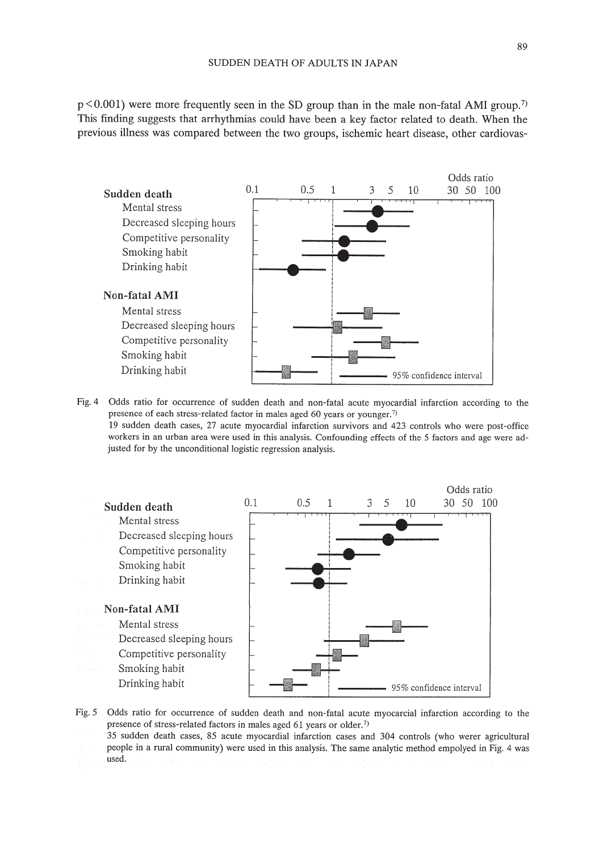$p < 0.001$ ) were more frequently seen in the SD group than in the male non-fatal AMI group.<sup>7)</sup> This finding suggests that arrhythmias could have been a key factor related to death. When the previous illness was compared between the two groups, ischemic heart disease, other cardiovas-



Fig. 4 Odds ratio for occurrence of sudden death and non-fatal acute myocardial infarction according to the presence of each stress-related factor in males aged 60 years or younger.<sup>7)</sup> 19 sudden death cases, 27 acute myocardial infarction survivors and 423 controls who were post-office workers in an urban area were used in this analysis. Confounding effects of the 5 factors and age were adjusted for by the unconditional logistic regression analysis.



*Fig.* 5 Odds *ratio* for occurrence of sudden death and non-fatal acute myocarcial infarction according to the presence of stress-related factors in males aged 61 years or older.<sup>7)</sup>

35 sudden death cases, 85 acute myocardial infarction cases and 304 controls (who werer agricultural people in a rural community) were used in this analysis. The same analytic method empolyed in Fig. 4 was used.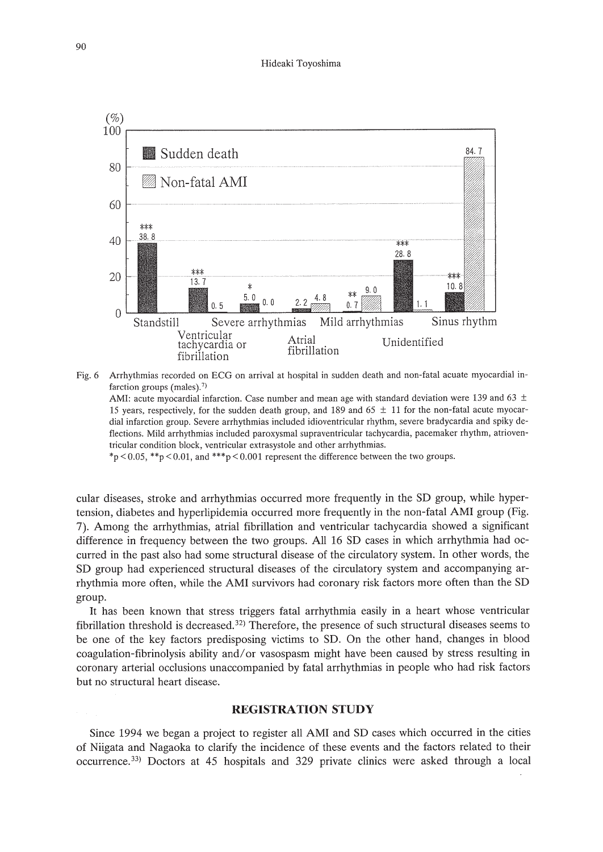

Fig. 6 Arrhythmias recorded on ECG on arrival at hospital in sudden death and non-fatal acuate myocardial infarction groups (males).<sup>7)</sup>

AMI: acute myocardial infarction. Case number and mean age with standard deviation were 139 and 63  $\pm$ 15 years, respectively, for the sudden death group, and 189 and 65 ± 11 for the non-fatal acute myocardial infarction group. Severe arrhythmias included idioventricular rhythm, severe bradycardia and spiky deflections. Mild arrhythmias included paroxysmal supraventricular tachycardia, pacemaker rhythm, atrioventricular condition block, ventricular extrasystole and other arrhythmias.

\*p  $< 0.05$ , \*\*p  $< 0.01$ , and \*\*\*p  $< 0.001$  represent the difference between the two groups.

cular diseases, stroke and arrhythmias occurred more frequently in the SD group, while hypertension, diabetes and hyperlipidemia occurred more frequently in the non-fatal AMI group (Fig. 7). Among the arrhythmias, atrial fibrillation and ventricular tachycardia showed a significant difference in frequency between the two groups. All 16 SD cases in which arrhythmia had occurred in the past also had some structural disease of the circulatory system. In other words, the SD group had experienced structural diseases of the circulatory system and accompanying arrhythmia more often, while the AMI survivors had coronary risk factors more often than the SD group.

It has been known that stress triggers fatal arrhythmia easily in a heart whose ventricular fibrillation threshold is decreased.<sup>32</sup> Therefore, the presence of such structural diseases seems to be one of the key factors predisposing victims to SD. On the other hand, changes in blood coagulation-fibrinolysis ability and/or vasospasm might have been caused by stress resulting in coronary arterial occlusions unaccompanied by fatal arrhythmias in people who had risk factors but no structural heart disease.

# **REGISTRATION STUDY**

Since 1994 we began a project to register all AMI and SD cases which occurred in the cities of Niigata and Nagaoka to clarify the incidence of these events and the factors related to their occurrence. 33) Doctors at 45 hospitals and 329 private clinics were asked through a local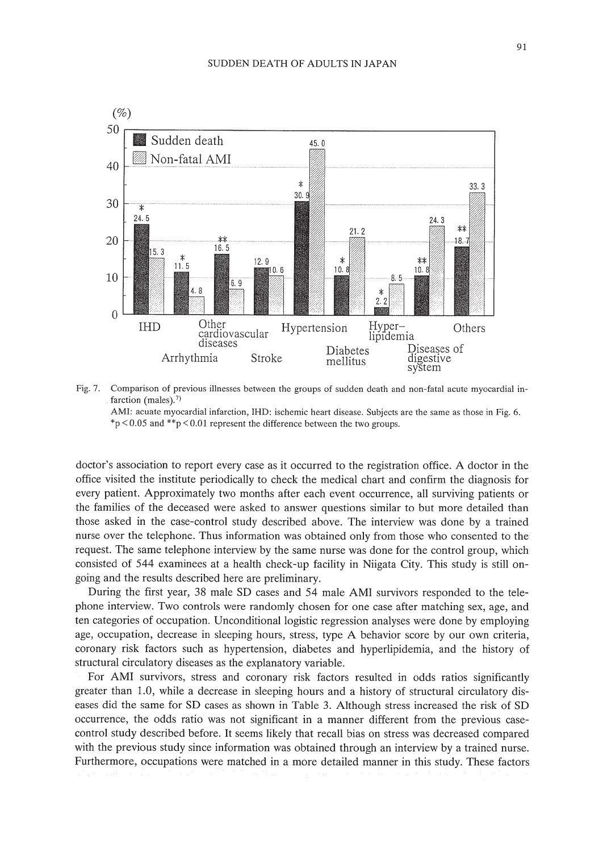

Fig. 7. Comparison of previous illnesses between the groups of sudden death and non-fatal acute myocardial infarction (males).<sup>7)</sup>



doctor's association to report every case as it occurred to the registration office. A doctor in the office visited the institute periodically to check the medical chart and confirm the diagnosis for every patient. Approximately two months after each event occurrence, all surviving patients or the families of the deceased were asked to answer questions similar to but more detailed than those asked in the case-control study described above. The interview was done by a trained nurse over the telephone. Thus information was obtained only from those who consented to the request. The same telephone interview by the same nurse was done for the control group, which consisted of 544 examinees at a health check-up facility in Niigata City. This study is still ongoing and the results described here are preliminary.

During the first year, 38 male SD cases and 54 male AMI survivors responded to the telephone interview. Two controls were randomly chosen for one case after matching sex, age, and ten categories of occupation. Unconditional logistic regression analyses were done by employing age, occupation, decrease in sleeping hours, stress, type A behavior score by our own criteria, coronary risk factors such as hypertension, diabetes and hyperlipidemia, and the history of structural circulatory diseases as the explanatory variable.

For AMI survivors, stress and coronary risk factors resulted in odds ratios significantly greater than 1.0, while a decrease in sleeping hours and a history of structural circulatory diseases did the same for SD cases as shown in Table 3. Although stress increased the risk of SD occurrence, the odds ratio was not significant in a manner different from the previous casecontrol study described before. It seems likely that recall bias on stress was decreased compared with the previous study since information was obtained through an interview by a trained nurse. Furthermore, occupations were matched in a more detailed manner in this study. These factors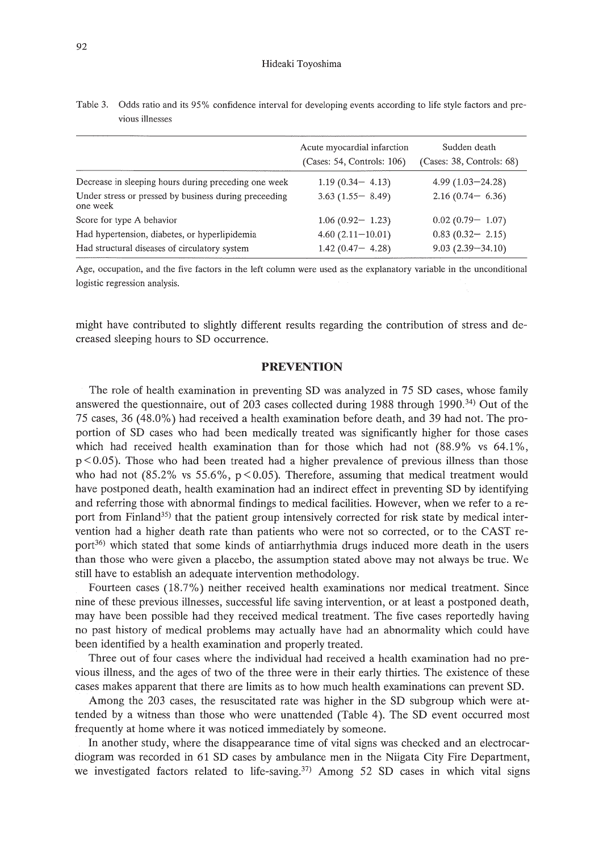|                                                                   | Acute myocardial infarction<br>(Cases: 54, Controls: 106) | Sudden death<br>(Cases: 38, Controls: 68) |
|-------------------------------------------------------------------|-----------------------------------------------------------|-------------------------------------------|
| Decrease in sleeping hours during preceding one week              | $1.19(0.34 - 4.13)$                                       | $4.99(1.03 - 24.28)$                      |
| Under stress or pressed by business during preceeding<br>one week | $3.63(1.55 - 8.49)$                                       | $2.16(0.74 - 6.36)$                       |
| Score for type A behavior                                         | $1.06(0.92 - 1.23)$                                       | $0.02(0.79 - 1.07)$                       |
| Had hypertension, diabetes, or hyperlipidemia                     | $4.60(2.11-10.01)$                                        | $0.83(0.32 - 2.15)$                       |
| Had structural diseases of circulatory system                     | $1.42(0.47 - 4.28)$                                       | $9.03(2.39 - 34.10)$                      |
|                                                                   |                                                           |                                           |

Table 3. Odds ratio and its 95% confidence interval for developing events according to life style factors and previous illnesses

Age, occupation, and the five factors in the left column were used as the explanatory variable in the unconditional logistic regression analysis.

might have contributed to slightly different results regarding the contribution of stress and decreased sleeping hours to SD occurrence.

## **PREVENTION**

The role of health examination in preventing SD was analyzed in 75 SD cases, whose family answered the questionnaire, out of 203 cases collected during 1988 through 1990.<sup>34</sup>) Out of the 75 cases, 36 (48.0%) had received a health examination before death, and 39 had not. The proportion of SD cases who had been medically treated was significantly higher for those cases which had received health examination than for those which had not (88.9% vs 64.1%,  $p < 0.05$ ). Those who had been treated had a higher prevalence of previous illness than those who had not  $(85.2\%$  vs 55.6%, p < 0.05). Therefore, assuming that medical treatment would have postponed death, health examination had an indirect effect in preventing SD by identifying and referring those with abnormal findings to medical facilities. However, when we refer to a report from Finland<sup>35)</sup> that the patient group intensively corrected for risk state by medical intervention had a higher death rate than patients who were not so corrected, or to the CAST report<sup>36)</sup> which stated that some kinds of antiarrhythmia drugs induced more death in the users than those who were given a placebo, the assumption stated above may not always be true. We still have to establish an adequate intervention methodology.

Fourteen cases (18.7%) neither received health examinations nor medical treatment. Since nine of these previous illnesses, successful life saving intervention, or at least a postponed death, may have been possible had they received medical treatment. The five cases reportedly having no past history of medical problems may actually have had an abnormality which could have been identified by a health examination and properly treated.

Three out of four cases where the individual had received a health examination had no previous illness, and the ages of two of the three were in their early thirties. The existence of these cases makes apparent that there are limits as to how much health examinations can prevent SD.

Among the 203 cases, the resuscitated rate was higher in the SD subgroup which were attended by a witness than those who were unattended (Table 4). The SD event occurred most frequently at home where it was noticed immediately by someone.

**In** another study, where the disappearance time of vital signs was checked and an electrocardiogram was recorded in 61 SD cases by ambulance men in the Niigata City Fire Department, we investigated factors related to life-saving.<sup>37)</sup> Among 52 SD cases in which vital signs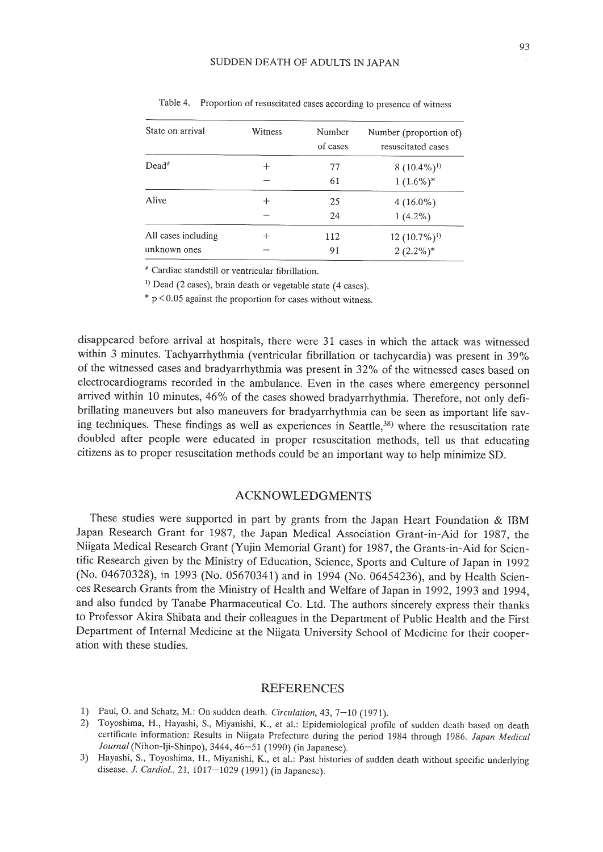| State on arrival    | Witness | Number<br>of cases | Number (proportion of)<br>resuscitated cases |
|---------------------|---------|--------------------|----------------------------------------------|
| $Dead^*$            | ┿       | 77                 | $8(10.4\%)^{1}$                              |
|                     |         | 61                 | $1(1.6\%)*$                                  |
| Alive               | $\,+\,$ | 25                 | $4(16.0\%)$                                  |
|                     |         | 24                 | $1(4.2\%)$                                   |
| All cases including | ┿       | 112                | $12(10.7\%)$ <sup>1)</sup>                   |
| unknown ones        |         | 91                 | $2(2.2\%)$ *                                 |

Table 4. Proportion of resuscitated cases according to presence of witness

• Cardiac standstill or ventricular fibrillation.

<sup>1)</sup> Dead (2 cases), brain death or vegetable state (4 cases).

 $*$  p < 0.05 against the proportion for cases without witness.

disappeared before arrival at hospitals, there were 31 cases in which the attack was witnessed within 3 minutes. Tachyarrhythmia (ventricular fibrillation or tachycardia) was present in 39% of the witnessed cases and bradyarrhythmia was present in 32% of the witnessed cases based on electrocardiograms recorded in the ambulance. Even in the cases where emergency personnel arrived within 10 minutes, 46% of the cases showed bradyarrhythmia. Therefore, not only defibrillating maneuvers but also maneuvers for bradyarrhythmia can be seen as important life saving techniques. These findings as well as experiences in Seattle,<sup>38)</sup> where the resuscitation rate doubled after people were educated in proper resuscitation methods, tell us that educating citizens as to proper resuscitation methods could be an important way to help minimize SD.

# ACKNOWLEDGMENTS

These studies were supported in part by grants from the Japan Heart Foundation & IBM Japan Research Grant for 1987, the Japan Medical Association Grant-in-Aid for 1987, the Niigata Medical Research Grant (Yujin Memorial Grant) for 1987, the Grants-in-Aid for Scientific Research given by the Ministry of Education, Science, Sports and Culture of Japan in 1992 (No. 04670328), in 1993 (No. 05670341) and in 1994 (No. 06454236), and by Health Sciences Research Grants from the Ministry of Health and Welfare of Japan in 1992, 1993 and 1994, and also funded by Tanabe Pharmaceutical Co. Ltd. The authors sincerely express their thanks to Professor Akira Shibata and their colleagues in the Department of Public Health and the First Department of Internal Medicine at the Niigata University School of Medicine for their cooperation with these studies.

#### REFERENCES

- 1) Paul, O. and Schatz, M.: On sudden death. *Circulalion,* 43, 7-10 (1971).
- 2) Toyoshima, H., Hayashi, S., Miyanishi, K., et al.: Epidemiological profile of sudden death based on death certificate information: Results in Niigata Prefecture during the period 1984 through 1986. *Japan Medical Journal* (Nihon-Iji-Shinpo), 3444, 46-51 (1990) (in Japanese).
- 3) Hayashi, S., Toyoshima, H., Miyanishi, K., et al.: Past histories of sudden death without specific underlying disease. J. *Cardia!.,* 21,1017-1029 (1991) (in Japanese).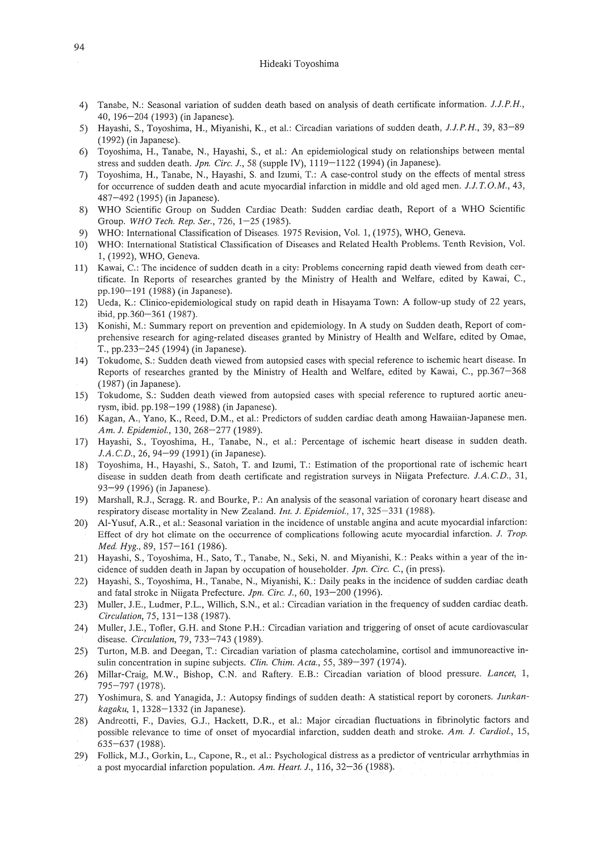- 4) Tanabe, N.: Seasonal variation of sudden death based on analysis of death certificate information. *J.J.P.H.,* 40, 196-204 (1993) (in Japanese).
- 5) Hayashi, S., Toyoshima, H., Miyanishi, K., et al.: Circadian variations of sudden death, *J.J.P.H.,* 39, 83-89 (1992) (in Japanese).
- 6) Toyoshima, H., Tanabe, N., Hayashi, S., et al.: An epidemiological study on relationships between mental stress and sudden death. *Jpn. Circ. J.,* 58 (supple IV), 1119-1122 (1994) (in Japanese).
- 7) Toyoshima, H., Tanabe, N., Hayashi, S. and Izumi, T: A case-control study on the effects of mental stress for occurrence of sudden death and acute myocardial infarction in middle and old aged men. *J.J. T.* O. M., *43,* 487-492 (1995) (in Japanese).
- 8) WHO Scientific Group on Sudden Cardiac Death: Sudden cardiac death, Report of a WHO Scientific Group. *WHO Tech. Rep. Ser.,* 726,1-25 (1985).
- 9) WHO: International Classification of Diseases. 1975 Revision, Vol. 1, (1975), WHO, Geneva.
- 10) WHO: International Statistical Classification of Diseases and Related Health Problems. Tenth Revision, Vol. 1, (1992), WHO, Geneva.
- 11) Kawai, C.: The incidence of sudden death in a city: Problems concerning rapid death viewed from death certificate. In Reports of researches granted by the Ministry of Health and Welfare, edited by Kawai, C., pp.190-191 (1988) (in Japanese).
- 12) Veda, K.: Clinico-epidemiological study on rapid death in Hisayama Town: A follow-up study of 22 years, ibid, pp.360-361 (1987).
- 13) Konishi, M.: Summary report on prevention and epidemiology. In A study on Sudden death, Report of comprehensive research for aging-related diseases granted by Ministry of Health and Welfare, edited by Omae, T., pp.233-245 (1994) (in Japanese).
- 14) Tokudome, S.: Sudden death viewed from autopsied cases with special reference to ischemic heart disease. In Reports of researches granted by the Ministry of Health and Welfare, edited by Kawai, c., pp.367-368 (1987) (in Japanese).
- 15) Tokudome, S.: Sudden death viewed from autopsied cases with special reference to ruptured aortic aneurysm, ibid. pp.198-199 (1988) (in Japanese).
- 16) Kagan, A., Yano, K., Reed, D.M., et al.: Predictors of sudden cardiac death among Hawaiian-Japanese men. *Am. J. Epidemiol.,* 130, 268-277 (1989).
- 17) Hayashi, S., Toyoshima, H., Tanabe, N., et al.: Percentage of ischemic heart disease in sudden death. J.A. C.D., 26, 94-99 (1991) (in Japanese).
- 18) Toyoshima, H., Hayashi, S., Satoh, T. and Izumi, T: Estimation of the proportional rate of ischemic heart disease in sudden death from death certificate and registration surveys in Niigata Prefecture. *J.A.* CD., 31, 93-99 (1996) (in Japanese).
- 19) Marshall, R.J., Scragg. R. and Bourke, P.: An analysis of the seasonal variation of coronary heart disease and respiratory disease mortality in New Zealand. *Int. J. Epidemiol.,* 17, 325-331 (1988).
- 20) AI-Yusuf, A.R., et al.: Seasonal variation in the incidence of unstable angina and acute myocardial infarction: Effect of dry hot climate on the occurrence of complications following acute myocardial infarction. *J. Trop. Med. Hyg.,* 89,157-161 (1986).
- 21) Hayashi, S., Toyoshima, H., Sato, T, Tanabe, N., Seki, N. and Miyanishi, K.: Peaks within a year of the incidence of sudden death in Japan by occupation of householder. *Jpn. Circ.* C, (in press).
- 22) Hayashi, S., Toyoshima, H., Tanabe, N., Miyanishi, K.: Daily peaks in the incidence of sudden cardiac death and fatal stroke in Niigata Prefecture. *Jpn. Circ. J.,* 60, 193-200 (1996).
- 23) Muller, J.E., Ludmer, P.L., Willich, S.N., et al.: Circadian variation in the frequency of sudden cardiac death. *Circulation,* 75,131-138 (1987).
- 24) Muller, J.E., Tofler, G.H. and Stone P.H.: Circadian variation and triggering of onset of acute cardiovascular disease. *Circulation,* 79, 733-743 (1989).
- 25) Turton, M.B. and Deegan, T: Circadian variation of plasma catecholamine, cortisol and immunoreactive insulin concentration in supine subjects. *Clin. Chim. Acta.,* 55, 389-397 (1974).
- 26) Millar-Craig, M.W., Bishop, C.N. and Raftery. E.B.: Circadian variation of blood pressure. *Lancet, 1,* 795-797 (1978).
- 27) Yoshimura, S. and Yanagida, J.: Autopsy findings of sudden death: A statistical report by coroners. *Junkankagaku,* 1, 1328-1332 (in Japanese).
- 28) Andreotti, F., Davies, G.J., Hackett, D.R., et al.: Major circadian fluctuations in fibrinolytic factors and possible relevance to time of onset of myocardial infarction, sudden death and stroke. *Am. J. Cardiol., 15,* 635-637 (1988).
- 29) Follick, M.J., Gorkin, L., Capone, R., et al.: Psychological distress as a predictor of ventricular arrhythmias in a post myocardial infarction population. *Am. Heart. J.,* 116,32-36 (1988).